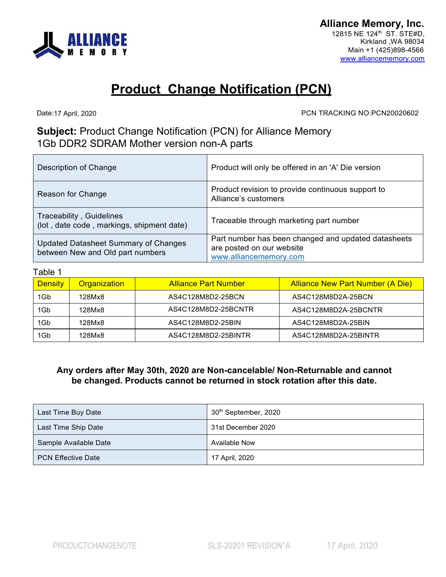

## **Product Change Notification (PCN)**

Date: 17 April, 2020

PCN TRACKING NO:PCN20020602

## **Subject:** Product Change Notification (PCN) for Alliance Memory 1Gb DDR2 SDRAM Mother version non-A parts

| Description of Change                                                    | Product will only be offered in an 'A' Die version                                                         |
|--------------------------------------------------------------------------|------------------------------------------------------------------------------------------------------------|
| Reason for Change                                                        | Product revision to provide continuous support to<br>Alliance's customers                                  |
| Traceability, Guidelines<br>(lot, date code, markings, shipment date)    | Traceable through marketing part number                                                                    |
| Updated Datasheet Summary of Changes<br>between New and Old part numbers | Part number has been changed and updated datasheets<br>are posted on our website<br>www.alliancememory.com |

## Table 1

| <b>Density</b> | <b>Organization</b> | <b>Alliance Part Number</b> | <b>Alliance New Part Number (A Die)</b> |
|----------------|---------------------|-----------------------------|-----------------------------------------|
| 1Gb            | 128Mx8              | AS4C128M8D2-25BCN           | AS4C128M8D2A-25BCN                      |
| 1Gb            | 128Mx8              | AS4C128M8D2-25BCNTR         | AS4C128M8D2A-25BCNTR                    |
| 1Gb            | 128Mx8              | AS4C128M8D2-25BIN           | AS4C128M8D2A-25BIN                      |
| 1Gb            | 128Mx8              | AS4C128M8D2-25BINTR         | AS4C128M8D2A-25BINTR                    |

## **Any orders after May 30th, 2020 are Non-cancelable/ Non-Returnable and cannot be changed. Products cannot be returned in stock rotation after this date.**

| Last Time Buy Date        | 30 <sup>th</sup> September, 2020 |
|---------------------------|----------------------------------|
| Last Time Ship Date       | 31st December 2020               |
| Sample Available Date     | <b>Available Now</b>             |
| <b>PCN Effective Date</b> | 17 April, 2020                   |